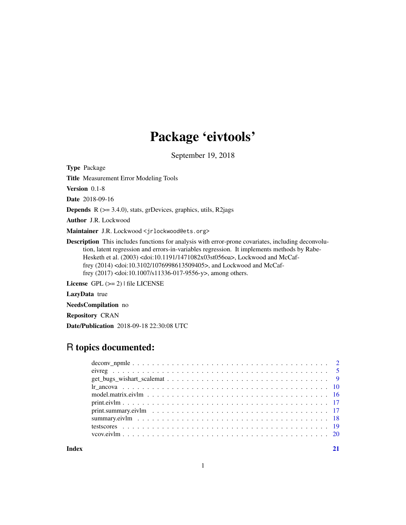# Package 'eivtools'

September 19, 2018

<span id="page-0-0"></span>Type Package

Title Measurement Error Modeling Tools

Version 0.1-8

Date 2018-09-16

**Depends**  $R$  ( $>= 3.4.0$ ), stats, grDevices, graphics, utils, R2jags

Author J.R. Lockwood

Maintainer J.R. Lockwood <jrlockwood@ets.org>

Description This includes functions for analysis with error-prone covariates, including deconvolution, latent regression and errors-in-variables regression. It implements methods by Rabe-Hesketh et al. (2003) <doi:10.1191/1471082x03st056oa>, Lockwood and McCaffrey (2014) <doi:10.3102/1076998613509405>, and Lockwood and McCaffrey (2017) <doi:10.1007/s11336-017-9556-y>, among others.

License GPL (>= 2) | file LICENSE

LazyData true

NeedsCompilation no

Repository CRAN

Date/Publication 2018-09-18 22:30:08 UTC

# R topics documented:

**Index** [21](#page-20-0)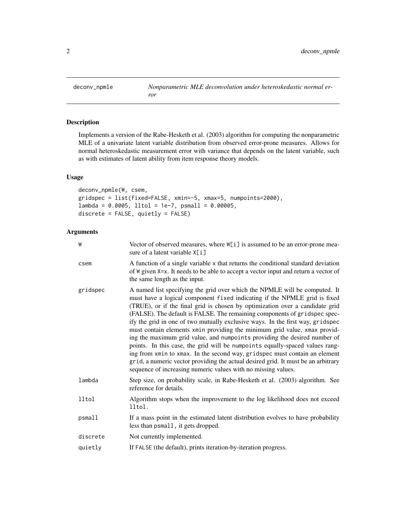<span id="page-1-1"></span><span id="page-1-0"></span>

# Description

Implements a version of the Rabe-Hesketh et al. (2003) algorithm for computing the nonparametric MLE of a univariate latent variable distribution from observed error-prone measures. Allows for normal heteroskedastic measurement error with variance that depends on the latent variable, such as with estimates of latent ability from item response theory models.

# Usage

deconv\_npmle(W, csem, gridspec = list(fixed=FALSE, xmin=-5, xmax=5, numpoints=2000),  $lambda = 0.0005$ ,  $lltol = 1e-7$ ,  $psmall = 0.00005$ , discrete = FALSE, quietly = FALSE)

# Arguments

| W        | Vector of observed measures, where W[i] is assumed to be an error-prone mea-<br>sure of a latent variable X[i]                                                                                                                                                                                                                                                                                                                                                                                                                                                                                                                                                                                                                                                                                                                                                                       |
|----------|--------------------------------------------------------------------------------------------------------------------------------------------------------------------------------------------------------------------------------------------------------------------------------------------------------------------------------------------------------------------------------------------------------------------------------------------------------------------------------------------------------------------------------------------------------------------------------------------------------------------------------------------------------------------------------------------------------------------------------------------------------------------------------------------------------------------------------------------------------------------------------------|
| csem     | A function of a single variable x that returns the conditional standard deviation<br>of W given X=x. It needs to be able to accept a vector input and return a vector of<br>the same length as the input.                                                                                                                                                                                                                                                                                                                                                                                                                                                                                                                                                                                                                                                                            |
| gridspec | A named list specifying the grid over which the NPMLE will be computed. It<br>must have a logical component fixed indicating if the NPMLE grid is fixed<br>(TRUE), or if the final grid is chosen by optimization over a candidate grid<br>(FALSE). The default is FALSE. The remaining components of gridspec spec-<br>ify the grid in one of two mutually exclusive ways. In the first way, gridspec<br>must contain elements xmin providing the minimum grid value, xmax provid-<br>ing the maximum grid value, and numpoints providing the desired number of<br>points. In this case, the grid will be numpoints equally-spaced values rang-<br>ing from xmin to xmax. In the second way, gridspec must contain an element<br>grid, a numeric vector providing the actual desired grid. It must be an arbitrary<br>sequence of increasing numeric values with no missing values. |
| lambda   | Step size, on probability scale, in Rabe-Hesketh et al. (2003) algorithm. See<br>reference for details.                                                                                                                                                                                                                                                                                                                                                                                                                                                                                                                                                                                                                                                                                                                                                                              |
| 11tol    | Algorithm stops when the improvement to the log likelihood does not exceed<br>lltol.                                                                                                                                                                                                                                                                                                                                                                                                                                                                                                                                                                                                                                                                                                                                                                                                 |
| psmall   | If a mass point in the estimated latent distribution evolves to have probability<br>less than psmall, it gets dropped.                                                                                                                                                                                                                                                                                                                                                                                                                                                                                                                                                                                                                                                                                                                                                               |
| discrete | Not currently implemented.                                                                                                                                                                                                                                                                                                                                                                                                                                                                                                                                                                                                                                                                                                                                                                                                                                                           |
| quietly  | If FALSE (the default), prints iteration-by-iteration progress.                                                                                                                                                                                                                                                                                                                                                                                                                                                                                                                                                                                                                                                                                                                                                                                                                      |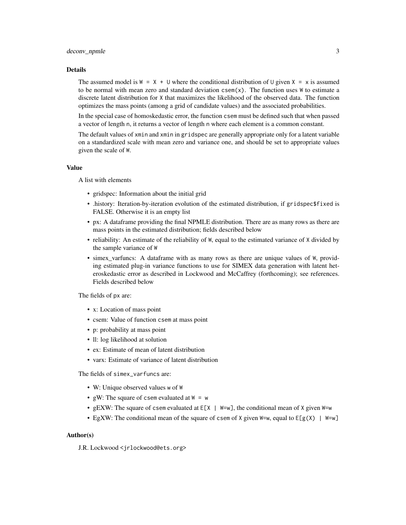#### deconv\_npmle 3

#### Details

The assumed model is  $W = X + U$  where the conditional distribution of U given  $X = x$  is assumed to be normal with mean zero and standard deviation  $csem(x)$ . The function uses W to estimate a discrete latent distribution for X that maximizes the likelihood of the observed data. The function optimizes the mass points (among a grid of candidate values) and the associated probabilities.

In the special case of homoskedastic error, the function csem must be defined such that when passed a vector of length n, it returns a vector of length n where each element is a common constant.

The default values of xmin and xmin in gridspec are generally appropriate only for a latent variable on a standardized scale with mean zero and variance one, and should be set to appropriate values given the scale of W.

#### Value

A list with elements

- gridspec: Information about the initial grid
- .history: Iteration-by-iteration evolution of the estimated distribution, if gridspec\$fixed is FALSE. Otherwise it is an empty list
- px: A dataframe providing the final NPMLE distribution. There are as many rows as there are mass points in the estimated distribution; fields described below
- reliability: An estimate of the reliability of W, equal to the estimated variance of X divided by the sample variance of W
- simex\_varfuncs: A dataframe with as many rows as there are unique values of W, providing estimated plug-in variance functions to use for SIMEX data generation with latent heteroskedastic error as described in Lockwood and McCaffrey (forthcoming); see references. Fields described below

The fields of px are:

- x: Location of mass point
- csem: Value of function csem at mass point
- p: probability at mass point
- Il: log likelihood at solution
- ex: Estimate of mean of latent distribution
- varx: Estimate of variance of latent distribution

The fields of simex\_varfuncs are:

- W: Unique observed values w of W
- gW: The square of csem evaluated at  $W = w$
- gEXW: The square of csem evaluated at E[X | W=w], the conditional mean of X given W=w
- EgXW: The conditional mean of the square of csem of X given  $W=w$ , equal to  $E[g(X)] = W=w$

#### Author(s)

J.R. Lockwood <jrlockwood@ets.org>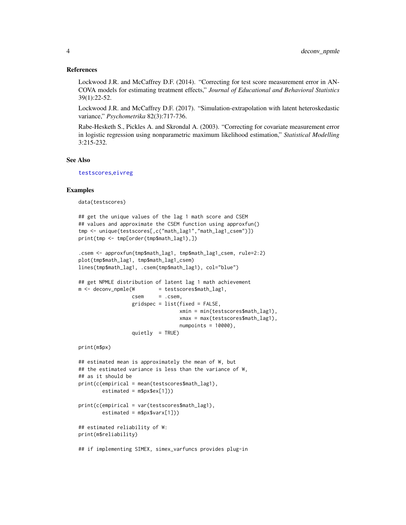#### <span id="page-3-0"></span>References

Lockwood J.R. and McCaffrey D.F. (2014). "Correcting for test score measurement error in AN-COVA models for estimating treatment effects," *Journal of Educational and Behavioral Statistics* 39(1):22-52.

Lockwood J.R. and McCaffrey D.F. (2017). "Simulation-extrapolation with latent heteroskedastic variance," *Psychometrika* 82(3):717-736.

Rabe-Hesketh S., Pickles A. and Skrondal A. (2003). "Correcting for covariate measurement error in logistic regression using nonparametric maximum likelihood estimation," *Statistical Modelling* 3:215-232.

### See Also

[testscores](#page-18-1),[eivreg](#page-4-1)

#### Examples

data(testscores)

```
## get the unique values of the lag 1 math score and CSEM
## values and approximate the CSEM function using approxfun()
tmp <- unique(testscores[,c("math_lag1","math_lag1_csem")])
print(tmp <- tmp[order(tmp$math_lag1),])
```

```
.csem <- approxfun(tmp$math_lag1, tmp$math_lag1_csem, rule=2:2)
plot(tmp$math_lag1, tmp$math_lag1_csem)
lines(tmp$math_lag1, .csem(tmp$math_lag1), col="blue")
```

```
## get NPMLE distribution of latent lag 1 math achievement
m \le - deconv_npmle(W = testscores$math_lag1,
                 csem = csem,gridspec = list(fixed = FALSE,
                                 xmin = min(testscores$math_lag1),
                                 xmax = max(testscores$math_lag1),
                                 numpoints = 10000),
                 quietly = TRUE)
```
print(m\$px)

```
## estimated mean is approximately the mean of W, but
## the estimated variance is less than the variance of W,
## as it should be
print(c(empirical = mean(testscores$math_lag1),
       estimated = m$px$ex[1]))
```

```
print(c(empirical = var(testscores$math_lag1),
       estimated = m$px$varx[1])
```

```
## estimated reliability of W:
print(m$reliability)
```

```
## if implementing SIMEX, simex_varfuncs provides plug-in
```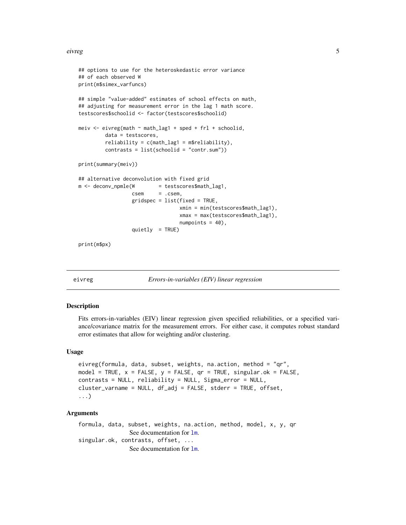#### <span id="page-4-0"></span>eivreg **5**

```
## options to use for the heteroskedastic error variance
## of each observed W
print(m$simex_varfuncs)
## simple "value-added" estimates of school effects on math,
## adjusting for measurement error in the lag 1 math score.
testscores$schoolid <- factor(testscores$schoolid)
meiv \le eivreg(math \sim math_lag1 + sped + frl + schoolid,
        data = testscores,
        reliability = c(math\_lag1 = m$reliability),contrasts = list(schoolid = "contr.sum"))
print(summary(meiv))
## alternative deconvolution with fixed grid
m < - deconv_npmle(W = testscores$math_lag1,
                 csem = .csem,
                  gridspec = list(fixed = TRUE,
                                  xmin = min(testscores$math_lag1),
                                  xmax = max(testscores$math_lag1),
                                  numpoints = 40),
                  quietly = TRUE)
```
print(m\$px)

<span id="page-4-1"></span>

eivreg *Errors-in-variables (EIV) linear regression*

#### Description

Fits errors-in-variables (EIV) linear regression given specified reliabilities, or a specified variance/covariance matrix for the measurement errors. For either case, it computes robust standard error estimates that allow for weighting and/or clustering.

#### Usage

```
eivreg(formula, data, subset, weights, na.action, method = "qr",
model = TRUE, x = FALSE, y = FALSE, qr = TRUE, singular.ok = FALSE,
contrasts = NULL, reliability = NULL, Sigma_error = NULL,
cluster_varname = NULL, df_adj = FALSE, stderr = TRUE, offset,
...)
```
# Arguments

```
formula, data, subset, weights, na.action, method, model, x, y, qr
                See documentation for \text{lm}.
singular.ok, contrasts, offset, ...
                 See documentation for lm.
```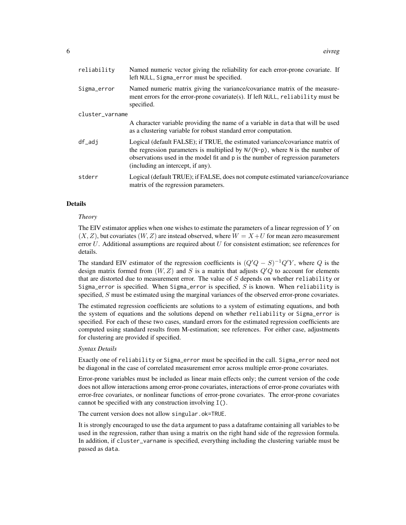| reliability     | Named numeric vector giving the reliability for each error-prone covariate. If<br>left NULL, Sigma_error must be specified.                                                                                                                                                              |
|-----------------|------------------------------------------------------------------------------------------------------------------------------------------------------------------------------------------------------------------------------------------------------------------------------------------|
| Sigma_error     | Named numeric matrix giving the variance/covariance matrix of the measure-<br>ment errors for the error-prone covariate(s). If left NULL, reliability must be<br>specified.                                                                                                              |
| cluster_varname |                                                                                                                                                                                                                                                                                          |
|                 | A character variable providing the name of a variable in data that will be used<br>as a clustering variable for robust standard error computation.                                                                                                                                       |
| df_adj          | Logical (default FALSE); if TRUE, the estimated variance/covariance matrix of<br>the regression parameters is multiplied by $N/(N-p)$ , where N is the number of<br>observations used in the model fit and p is the number of regression parameters<br>(including an intercept, if any). |
| stderr          | Logical (default TRUE); if FALSE, does not compute estimated variance/covariance<br>matrix of the regression parameters.                                                                                                                                                                 |

#### Details

#### *Theory*

The EIV estimator applies when one wishes to estimate the parameters of a linear regression of  $Y$  on  $(X, Z)$ , but covariates  $(W, Z)$  are instead observed, where  $W = X + U$  for mean zero measurement error  $U$ . Additional assumptions are required about  $U$  for consistent estimation; see references for details.

The standard EIV estimator of the regression coefficients is  $(Q'Q - S)^{-1}Q'Y$ , where Q is the design matrix formed from  $(W, Z)$  and S is a matrix that adjusts  $Q'Q$  to account for elements that are distorted due to measurement error. The value of  $S$  depends on whether reliability or Sigma\_error is specified. When Sigma\_error is specified,  $S$  is known. When reliability is specified,  $S$  must be estimated using the marginal variances of the observed error-prone covariates.

The estimated regression coefficients are solutions to a system of estimating equations, and both the system of equations and the solutions depend on whether reliability or Sigma\_error is specified. For each of these two cases, standard errors for the estimated regression coefficients are computed using standard results from M-estimation; see references. For either case, adjustments for clustering are provided if specified.

#### *Syntax Details*

Exactly one of reliability or Sigma\_error must be specified in the call. Sigma\_error need not be diagonal in the case of correlated measurement error across multiple error-prone covariates.

Error-prone variables must be included as linear main effects only; the current version of the code does not allow interactions among error-prone covariates, interactions of error-prone covariates with error-free covariates, or nonlinear functions of error-prone covariates. The error-prone covariates cannot be specified with any construction involving I().

#### The current version does not allow singular.ok=TRUE.

It is strongly encouraged to use the data argument to pass a dataframe containing all variables to be used in the regression, rather than using a matrix on the right hand side of the regression formula. In addition, if cluster\_varname is specified, everything including the clustering variable must be passed as data.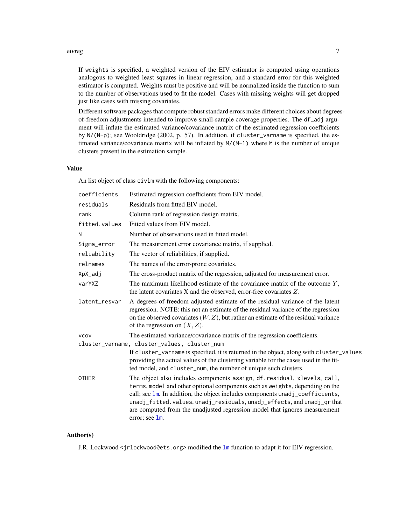#### <span id="page-6-0"></span>eivreg **7** and 2012 the set of the set of the set of the set of the set of the set of the set of the set of the set of the set of the set of the set of the set of the set of the set of the set of the set of the set of the

If weights is specified, a weighted version of the EIV estimator is computed using operations analogous to weighted least squares in linear regression, and a standard error for this weighted estimator is computed. Weights must be positive and will be normalized inside the function to sum to the number of observations used to fit the model. Cases with missing weights will get dropped just like cases with missing covariates.

Different software packages that compute robust standard errors make different choices about degreesof-freedom adjustments intended to improve small-sample coverage properties. The df\_adj argument will inflate the estimated variance/covariance matrix of the estimated regression coefficients by N/(N-p); see Wooldridge (2002, p. 57). In addition, if cluster\_varname is specified, the estimated variance/covariance matrix will be inflated by M/(M-1) where M is the number of unique clusters present in the estimation sample.

# Value

An list object of class eivlm with the following components:

| coefficients  | Estimated regression coefficients from EIV model.                                                                                                                                                                                                                                                                                                                                                                 |
|---------------|-------------------------------------------------------------------------------------------------------------------------------------------------------------------------------------------------------------------------------------------------------------------------------------------------------------------------------------------------------------------------------------------------------------------|
| residuals     | Residuals from fitted EIV model.                                                                                                                                                                                                                                                                                                                                                                                  |
| rank          | Column rank of regression design matrix.                                                                                                                                                                                                                                                                                                                                                                          |
| fitted.values | Fitted values from EIV model.                                                                                                                                                                                                                                                                                                                                                                                     |
| N             | Number of observations used in fitted model.                                                                                                                                                                                                                                                                                                                                                                      |
| Sigma_error   | The measurement error covariance matrix, if supplied.                                                                                                                                                                                                                                                                                                                                                             |
| reliability   | The vector of reliabilities, if supplied.                                                                                                                                                                                                                                                                                                                                                                         |
| relnames      | The names of the error-prone covariates.                                                                                                                                                                                                                                                                                                                                                                          |
| XpX_adj       | The cross-product matrix of the regression, adjusted for measurement error.                                                                                                                                                                                                                                                                                                                                       |
| varYXZ        | The maximum likelihood estimate of the covariance matrix of the outcome $Y$ ,<br>the latent covariates $X$ and the observed, error-free covariates $Z$ .                                                                                                                                                                                                                                                          |
| latent_resvar | A degrees-of-freedom adjusted estimate of the residual variance of the latent<br>regression. NOTE: this not an estimate of the residual variance of the regression<br>on the observed covariates $(W, Z)$ , but rather an estimate of the residual variance<br>of the regression on $(X, Z)$ .                                                                                                                    |
| <b>VCOV</b>   | The estimated variance/covariance matrix of the regression coefficients.                                                                                                                                                                                                                                                                                                                                          |
|               | cluster_varname, cluster_values, cluster_num                                                                                                                                                                                                                                                                                                                                                                      |
|               | If cluster_varname is specified, it is returned in the object, along with cluster_values<br>providing the actual values of the clustering variable for the cases used in the fit-<br>ted model, and cluster_num, the number of unique such clusters.                                                                                                                                                              |
| <b>OTHER</b>  | The object also includes components assign, df. residual, xlevels, call,<br>terms, model and other optional components such as weights, depending on the<br>call; see 1m. In addition, the object includes components unadj_coefficients,<br>unadj_fitted.values,unadj_residuals,unadj_effects, and unadj_qr that<br>are computed from the unadjusted regression model that ignores measurement<br>error; see 1m. |

# Author(s)

J.R. Lockwood <jrlockwood@ets.org> modified the [lm](#page-0-0) function to adapt it for EIV regression.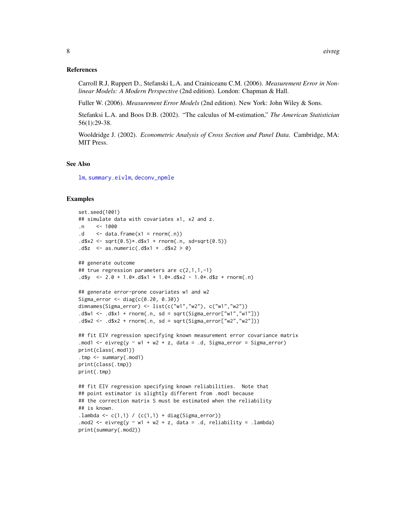#### <span id="page-7-0"></span>References

Carroll R.J, Ruppert D., Stefanski L.A. and Crainiceanu C.M. (2006). *Measurement Error in Nonlinear Models: A Modern Perspective* (2nd edition). London: Chapman & Hall.

Fuller W. (2006). *Measurement Error Models* (2nd edition). New York: John Wiley & Sons.

Stefanksi L.A. and Boos D.B. (2002). "The calculus of M-estimation," *The American Statistician* 56(1):29-38.

Wooldridge J. (2002). *Econometric Analysis of Cross Section and Panel Data*. Cambridge, MA: MIT Press.

### See Also

[lm](#page-0-0), [summary.eivlm](#page-17-1), [deconv\\_npmle](#page-1-1)

#### Examples

```
set.seed(1001)
## simulate data with covariates x1, x2 and z.
\mathsf{.n} <- 1000
.d \leq data.frame(x1 = rnorm(.n))
. d$x2 <- sqrt(0.5)*.d$x1 + rnorm(.n, sd=sqrt(0.5)). d$z <- as.numeric(.d$x1 + .d$x2 > 0)
## generate outcome
## true regression parameters are c(2,1,1,-1)
.d$y <- 2.0 + 1.0*.d$x1 + 1.0*.d$x2 - 1.0*.d$z + rnorm(.n)
## generate error-prone covariates w1 and w2
Sigma_error <- diag(c(0.20, 0.30))
dimnames(Sigma_error) <- list(c("w1","w2"), c("w1","w2"))
.d$w1 <- .d$x1 + rnorm(.n, sd = sqrt(Sigma_error["w1","w1"]))
.d$w2 <- .d$x2 + rnorm(.n, sd = sqrt(Sigma_error["w2","w2"]))
## fit EIV regression specifying known measurement error covariance matrix
.mod1 <- eivreg(y \sim w1 + w2 + z, data = .d, Sigma_error = Sigma_error)
print(class(.mod1))
.tmp <- summary(.mod1)
print(class(.tmp))
print(.tmp)
## fit EIV regression specifying known reliabilities. Note that
## point estimator is slightly different from .mod1 because
## the correction matrix S must be estimated when the reliability
## is known.
.lambda <- c(1,1) / (c(1,1) + diag(Sigma_error)).mod2 <- eivreg(y \sim w1 + w2 + z, data = .d, reliability = .lambda)
print(summary(.mod2))
```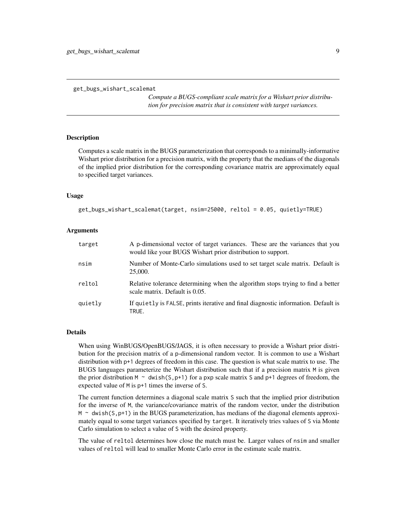```
get_bugs_wishart_scalemat
```
*Compute a BUGS-compliant scale matrix for a Wishart prior distribution for precision matrix that is consistent with target variances.*

#### Description

Computes a scale matrix in the BUGS parameterization that corresponds to a minimally-informative Wishart prior distribution for a precision matrix, with the property that the medians of the diagonals of the implied prior distribution for the corresponding covariance matrix are approximately equal to specified target variances.

#### Usage

```
get_bugs_wishart_scalemat(target, nsim=25000, reltol = 0.05, quietly=TRUE)
```
## Arguments

| target  | A p-dimensional vector of target variances. These are the variances that you<br>would like your BUGS Wishart prior distribution to support. |
|---------|---------------------------------------------------------------------------------------------------------------------------------------------|
| nsim    | Number of Monte-Carlo simulations used to set target scale matrix. Default is<br>25,000.                                                    |
| reltol  | Relative tolerance determining when the algorithm stops trying to find a better<br>scale matrix. Default is 0.05.                           |
| quietly | If quietly is FALSE, prints iterative and final diagnostic information. Default is<br>TRUE.                                                 |

#### Details

When using WinBUGS/OpenBUGS/JAGS, it is often necessary to provide a Wishart prior distribution for the precision matrix of a p-dimensional random vector. It is common to use a Wishart distribution with p+1 degrees of freedom in this case. The question is what scale matrix to use. The BUGS languages parameterize the Wishart distribution such that if a precision matrix M is given the prior distribution M  $\sim$  dwish(S, p+1) for a pxp scale matrix S and p+1 degrees of freedom, the expected value of M is p+1 times the inverse of S.

The current function determines a diagonal scale matrix S such that the implied prior distribution for the inverse of M, the variance/covariance matrix of the random vector, under the distribution  $M \sim$  dwish(S, p+1) in the BUGS parameterization, has medians of the diagonal elements approximately equal to some target variances specified by target. It iteratively tries values of S via Monte Carlo simulation to select a value of S with the desired property.

The value of reltol determines how close the match must be. Larger values of nsim and smaller values of reltol will lead to smaller Monte Carlo error in the estimate scale matrix.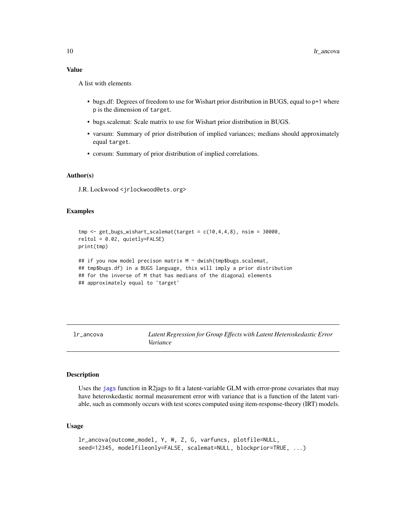# <span id="page-9-0"></span>Value

A list with elements

- bugs.df: Degrees of freedom to use for Wishart prior distribution in BUGS, equal to p+1 where p is the dimension of target.
- bugs.scalemat: Scale matrix to use for Wishart prior distribution in BUGS.
- varsum: Summary of prior distribution of implied variances; medians should approximately equal target.
- corsum: Summary of prior distribution of implied correlations.

# Author(s)

J.R. Lockwood <jrlockwood@ets.org>

#### Examples

```
tmp \leftarrow get_bugs_wishart_scalemat(target = c(10,4,4,8), nsim = 30000,reltol = 0.02, quietly=FALSE)
print(tmp)
## if you now model precison matrix M ~ dwish(tmp$bugs.scalemat,
## tmp$bugs.df) in a BUGS language, this will imply a prior distribution
## for the inverse of M that has medians of the diagonal elements
## approximately equal to 'target'
```
lr\_ancova *Latent Regression for Group Effects with Latent Heteroskedastic Error Variance*

#### Description

Uses the [jags](#page-0-0) function in R2jags to fit a latent-variable GLM with error-prone covariates that may have heteroskedastic normal measurement error with variance that is a function of the latent variable, such as commonly occurs with test scores computed using item-response-theory (IRT) models.

# Usage

```
lr_ancova(outcome_model, Y, W, Z, G, varfuncs, plotfile=NULL,
seed=12345, modelfileonly=FALSE, scalemat=NULL, blockprior=TRUE, ...)
```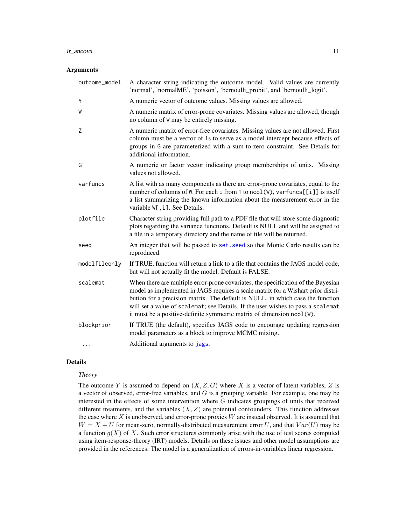#### <span id="page-10-0"></span>lr\_ancova 11

#### Arguments

| outcome_model | A character string indicating the outcome model. Valid values are currently<br>'normal', 'normalME', 'poisson', 'bernoulli_probit', and 'bernoulli_logit'.                                                                                                                                                                                                                                                            |
|---------------|-----------------------------------------------------------------------------------------------------------------------------------------------------------------------------------------------------------------------------------------------------------------------------------------------------------------------------------------------------------------------------------------------------------------------|
| Y             | A numeric vector of outcome values. Missing values are allowed.                                                                                                                                                                                                                                                                                                                                                       |
| W             | A numeric matrix of error-prone covariates. Missing values are allowed, though<br>no column of W may be entirely missing.                                                                                                                                                                                                                                                                                             |
| Z             | A numeric matrix of error-free covariates. Missing values are not allowed. First<br>column must be a vector of 1s to serve as a model intercept because effects of<br>groups in G are parameterized with a sum-to-zero constraint. See Details for<br>additional information.                                                                                                                                         |
| G             | A numeric or factor vector indicating group memberships of units. Missing<br>values not allowed.                                                                                                                                                                                                                                                                                                                      |
| varfuncs      | A list with as many components as there are error-prone covariates, equal to the<br>number of columns of W. For each i from 1 to ncol(W), varfuncs[[i]] is itself<br>a list summarizing the known information about the measurement error in the<br>variable W[, i]. See Details.                                                                                                                                     |
| plotfile      | Character string providing full path to a PDF file that will store some diagnostic<br>plots regarding the variance functions. Default is NULL and will be assigned to<br>a file in a temporary directory and the name of file will be returned.                                                                                                                                                                       |
| seed          | An integer that will be passed to set. seed so that Monte Carlo results can be<br>reproduced.                                                                                                                                                                                                                                                                                                                         |
| modelfileonly | If TRUE, function will return a link to a file that contains the JAGS model code,<br>but will not actually fit the model. Default is FALSE.                                                                                                                                                                                                                                                                           |
| scalemat      | When there are multiple error-prone covariates, the specification of the Bayesian<br>model as implemented in JAGS requires a scale matrix for a Wishart prior distri-<br>bution for a precision matrix. The default is NULL, in which case the function<br>will set a value of scalemat; see Details. If the user wishes to pass a scalemat<br>it must be a positive-definite symmetric matrix of dimension ncol (W). |
| blockprior    |                                                                                                                                                                                                                                                                                                                                                                                                                       |
|               | If TRUE (the default), specifies JAGS code to encourage updating regression<br>model parameters as a block to improve MCMC mixing.                                                                                                                                                                                                                                                                                    |

# Details

#### *Theory*

The outcome Y is assumed to depend on  $(X, Z, G)$  where X is a vector of latent variables, Z is a vector of observed, error-free variables, and  $G$  is a grouping variable. For example, one may be interested in the effects of some intervention where  $G$  indicates groupings of units that received different treatments, and the variables  $(X, Z)$  are potential confounders. This function addresses the case where  $X$  is unobserved, and error-prone proxies  $W$  are instead observed. It is assumed that  $W = X + U$  for mean-zero, normally-distributed measurement error U, and that  $Var(U)$  may be a function  $g(X)$  of X. Such error structures commonly arise with the use of test scores computed using item-response-theory (IRT) models. Details on these issues and other model assumptions are provided in the references. The model is a generalization of errors-in-variables linear regression.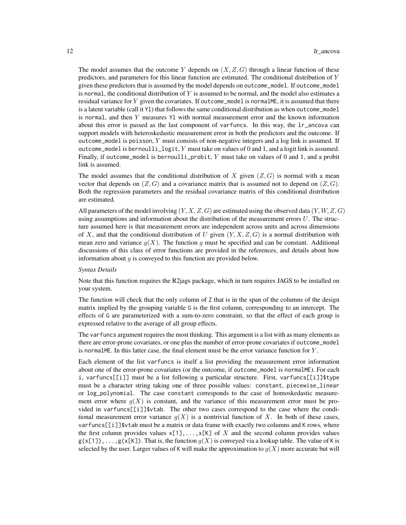The model assumes that the outcome Y depends on  $(X, Z, G)$  through a linear function of these predictors, and parameters for this linear function are estimated. The conditional distribution of  $Y$ given these predictors that is assumed by the model depends on outcome\_model. If outcome\_model is normal, the conditional distribution of  $Y$  is assumed to be normal, and the model also estimates a residual variance for  $Y$  given the covariates. If outcome\_model is normalME, it is assumed that there is a latent variable (call it Yl) that follows the same conditional distribution as when outcome\_model is normal, and then Y measures Yl with normal measurement error and the known information about this error is passed as the last component of varfuncs. In this way, the lr\_ancova can support models with heteroskedastic measurement error in both the predictors and the outcome. If outcome\_model is poisson,  $Y$  must consists of non-negative integers and a log link is assumed. If outcome\_model is bernoulli\_logit, Y must take on values of 0 and 1, and a logit link is assumed. Finally, if outcome\_model is bernoulli\_probit, Y must take on values of 0 and 1, and a probit link is assumed.

The model assumes that the conditional distribution of X given  $(Z, G)$  is normal with a mean vector that depends on  $(Z, G)$  and a covariance matrix that is assumed not to depend on  $(Z, G)$ . Both the regression parameters and the residual covariance matrix of this conditional distribution are estimated.

All parameters of the model involving  $(Y, X, Z, G)$  are estimated using the observed data  $(Y, W, Z, G)$ using assumptions and information about the distribution of the measurement errors  $U$ . The structure assumed here is that measurement errors are independent across units and across dimensions of X, and that the conditional distribution of U given  $(Y, X, Z, G)$  is a normal distribution with mean zero and variance  $q(X)$ . The function q must be specified and can be constant. Additional discussions of this class of error functions are provided in the references, and details about how information about  $g$  is conveyed to this function are provided below.

#### *Syntax Details*

Note that this function requires the R2jags package, which in turn requires JAGS to be installed on your system.

The function will check that the only column of Z that is in the span of the columns of the design matrix implied by the grouping variable G is the first column, corresponding to an intercept. The effects of G are parameterized with a sum-to-zero constraint, so that the effect of each group is expressed relative to the average of all group effects.

The varfuncs argument requires the most thinking. This argument is a list with as many elements as there are error-prone covariates, or one plus the number of error-prone covariates if outcome\_model is normalME. In this latter case, the final element must be the error variance function for  $Y$ .

Each element of the list varfuncs is itself a list providing the measurement error information about one of the error-prone covariates (or the outcome, if outcome\_model is normalME). For each i, varfuncs[[i]] must be a list following a particular structure. First, varfuncs[[i]]\$type must be a character string taking one of three possible values: constant, piecewise\_linear or log\_polynomial. The case constant corresponds to the case of homoskedastic measurement error where  $g(X)$  is constant, and the variance of this measurement error must be provided in varfuncs[[i]]\$vtab. The other two cases correspond to the case where the conditional measurement error variance  $g(X)$  is a nontrivial function of X. In both of these cases, var funcs  $\lceil i \rceil$ ] \$vtab must be a matrix or data frame with exactly two columns and K rows, where the first column provides values  $x[1],...,x[K]$  of X and the second column provides values  $g(x[1])$ ,..., $g(x[K])$ . That is, the function  $g(X)$  is conveyed via a lookup table. The value of K is selected by the user. Larger values of K will make the approximation to  $g(X)$  more accurate but will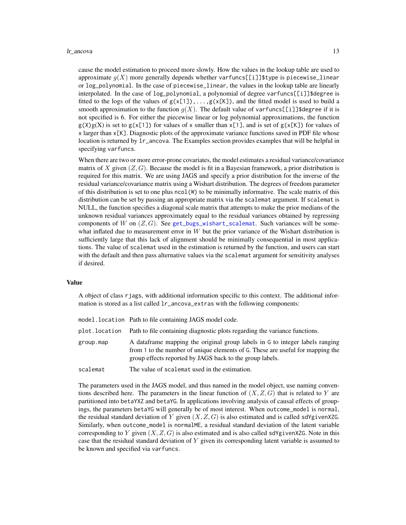#### <span id="page-12-0"></span>lr\_ancova 13

cause the model estimation to proceed more slowly. How the values in the lookup table are used to approximate  $q(X)$  more generally depends whether varfuncs[[i]]\$type is piecewise\_linear or log\_polynomial. In the case of piecewise\_linear, the values in the lookup table are linearly interpolated. In the case of log\_polynomial, a polynomial of degree varfuncs[[i]]\$degree is fitted to the logs of the values of  $g(x[1]), \ldots, g(x[K])$ , and the fitted model is used to build a smooth approximation to the function  $g(X)$ . The default value of varfuncs[[i]]\$degree if it is not specified is 6. For either the piecewise linear or log polynomial approximations, the function  $g(X)g(X)$  is set to  $g(x[1])$  for values of x smaller than  $x[1]$ , and is set of  $g(x[K])$  for values of x larger than x[K]. Diagnostic plots of the approximate variance functions saved in PDF file whose location is returned by lr\_ancova. The Examples section provides examples that will be helpful in specifying varfuncs.

When there are two or more error-prone covariates, the model estimates a residual variance/covariance matrix of X given  $(Z, G)$ . Because the model is fit in a Bayesian framework, a prior distribution is required for this matrix. We are using JAGS and specify a prior distribution for the inverse of the residual variance/covariance matrix using a Wishart distribution. The degrees of freedom parameter of this distribution is set to one plus ncol(W) to be minimally informative. The scale matrix of this distribution can be set by passing an appropriate matrix via the scalemat argument. If scalemat is NULL, the function specifies a diagonal scale matrix that attempts to make the prior medians of the unknown residual variances approximately equal to the residual variances obtained by regressing components of W on  $(Z, G)$ . See [get\\_bugs\\_wishart\\_scalemat](#page-8-1). Such variances will be somewhat inflated due to measurement error in  $W$  but the prior variance of the Wishart distribution is sufficiently large that this lack of alignment should be minimally consequential in most applications. The value of scalemat used in the estimation is returned by the function, and users can start with the default and then pass alternative values via the scalemat argument for sensitivity analyses if desired.

#### Value

A object of class rjags, with additional information specific to this context. The additional information is stored as a list called lr\_ancova\_extras with the following components:

|           | model.location Path to file containing JAGS model code.                                                                                                                                                                     |
|-----------|-----------------------------------------------------------------------------------------------------------------------------------------------------------------------------------------------------------------------------|
|           | plot. location Path to file containing diagnostic plots regarding the variance functions.                                                                                                                                   |
| group.map | A data frame mapping the original group labels in G to integer labels ranging<br>from 1 to the number of unique elements of G. These are useful for mapping the<br>group effects reported by JAGS back to the group labels. |
| scalemat  | The value of scalemat used in the estimation.                                                                                                                                                                               |

The parameters used in the JAGS model, and thus named in the model object, use naming conventions described here. The parameters in the linear function of  $(X, Z, G)$  that is related to Y are partitioned into betaYXZ and betaYG. In applications involving analysis of causal effects of groupings, the parameters betaYG will generally be of most interest. When outcome\_model is normal, the residual standard deviation of Y given  $(X, Z, G)$  is also estimated and is called sdYgivenXZG. Similarly, when outcome\_model is normalME, a residual standard deviation of the latent variable corresponding to Y given  $(X, Z, G)$  is also estimated and is also called sdYgivenXZG. Note in this case that the residual standard deviation of  $Y$  given its corresponding latent variable is assumed to be known and specified via varfuncs.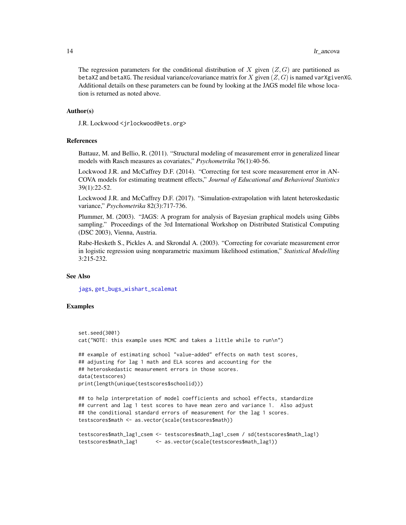#### <span id="page-13-0"></span>14 let  $\frac{1}{2}$  let  $\frac{1}{2}$  let  $\frac{1}{2}$  let  $\frac{1}{2}$  let  $\frac{1}{2}$  let  $\frac{1}{2}$  let  $\frac{1}{2}$  let  $\frac{1}{2}$  let  $\frac{1}{2}$  let  $\frac{1}{2}$  let  $\frac{1}{2}$  let  $\frac{1}{2}$  let  $\frac{1}{2}$  let  $\frac{1}{2}$  let  $\frac{1}{2}$  let  $\frac{1$

The regression parameters for the conditional distribution of X given  $(Z, G)$  are partitioned as betaXZ and betaXG. The residual variance/covariance matrix for X given  $(Z, G)$  is named varXgivenXG. Additional details on these parameters can be found by looking at the JAGS model file whose location is returned as noted above.

### Author(s)

J.R. Lockwood <jrlockwood@ets.org>

#### References

Battauz, M. and Bellio, R. (2011). "Structural modeling of measurement error in generalized linear models with Rasch measures as covariates," *Psychometrika* 76(1):40-56.

Lockwood J.R. and McCaffrey D.F. (2014). "Correcting for test score measurement error in AN-COVA models for estimating treatment effects," *Journal of Educational and Behavioral Statistics* 39(1):22-52.

Lockwood J.R. and McCaffrey D.F. (2017). "Simulation-extrapolation with latent heteroskedastic variance," *Psychometrika* 82(3):717-736.

Plummer, M. (2003). "JAGS: A program for analysis of Bayesian graphical models using Gibbs sampling." Proceedings of the 3rd International Workshop on Distributed Statistical Computing (DSC 2003), Vienna, Austria.

Rabe-Hesketh S., Pickles A. and Skrondal A. (2003). "Correcting for covariate measurement error in logistic regression using nonparametric maximum likelihood estimation," *Statistical Modelling* 3:215-232.

#### See Also

[jags](#page-0-0), [get\\_bugs\\_wishart\\_scalemat](#page-8-1)

# Examples

```
set.seed(3001)
cat("NOTE: this example uses MCMC and takes a little while to run\n")
## example of estimating school "value-added" effects on math test scores,
## adjusting for lag 1 math and ELA scores and accounting for the
## heteroskedastic measurement errors in those scores.
data(testscores)
print(length(unique(testscores$schoolid)))
## to help interpretation of model coefficients and school effects, standardize
```

```
## current and lag 1 test scores to have mean zero and variance 1. Also adjust
## the conditional standard errors of measurement for the lag 1 scores.
testscores$math <- as.vector(scale(testscores$math))
```

```
testscores$math_lag1_csem <- testscores$math_lag1_csem / sd(testscores$math_lag1)
testscores$math_lag1 <- as.vector(scale(testscores$math_lag1))
```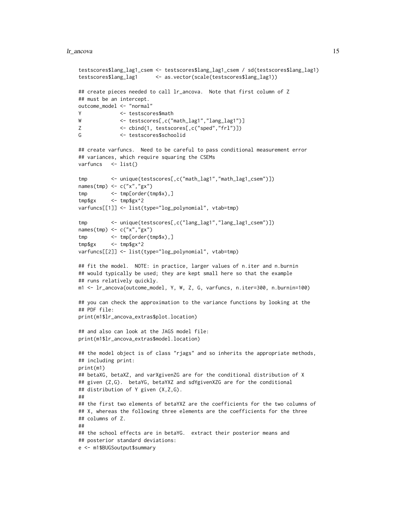#### lr\_ancova 15

```
testscores$lang_lag1_csem <- testscores$lang_lag1_csem / sd(testscores$lang_lag1)
testscores$lang_lag1 <- as.vector(scale(testscores$lang_lag1))
## create pieces needed to call lr_ancova. Note that first column of Z
## must be an intercept.
outcome_model <- "normal"
Y <- testscores$math
W <- testscores[,c("math_lag1","lang_lag1")]
Z <- cbind(1, testscores[,c("sped","frl")])
G <- testscores$schoolid
## create varfuncs. Need to be careful to pass conditional measurement error
## variances, which require squaring the CSEMs
varfuncs <- list()
tmp <- unique(testscores[,c("math_lag1","math_lag1_csem")])
names(tmp) <- c("x","gx")
tmp <- tmp[order(tmp$x),]
tmp$gx <- tmp$gx^2
varfuncs[[1]] <- list(type="log_polynomial", vtab=tmp)
tmp <- unique(testscores[,c("lang_lag1","lang_lag1_csem")])
names(tmp) <- c("x","gx")
tmp <- tmp[order(tmp$x),]
tmp$gx <- tmp$gx^2
varfuncs[[2]] <- list(type="log_polynomial", vtab=tmp)
## fit the model. NOTE: in practice, larger values of n.iter and n.burnin
## would typically be used; they are kept small here so that the example
## runs relatively quickly.
m1 <- lr_ancova(outcome_model, Y, W, Z, G, varfuncs, n.iter=300, n.burnin=100)
## you can check the approximation to the variance functions by looking at the
## PDF file:
print(m1$lr_ancova_extras$plot.location)
## and also can look at the JAGS model file:
print(m1$lr_ancova_extras$model.location)
## the model object is of class "rjags" and so inherits the appropriate methods,
## including print:
print(m1)
## betaXG, betaXZ, and varXgivenZG are for the conditional distribution of X
## given (Z,G). betaYG, betaYXZ and sdYgivenXZG are for the conditional
## distribution of Y given (X,Z,G).
##
## the first two elements of betaYXZ are the coefficients for the two columns of
## X, whereas the following three elements are the coefficients for the three
## columns of Z.
##
## the school effects are in betaYG. extract their posterior means and
## posterior standard deviations:
e <- m1$BUGSoutput$summary
```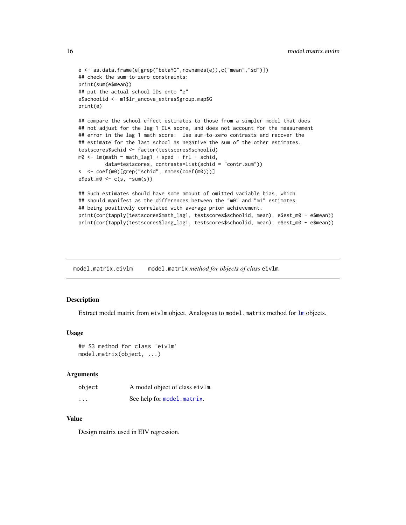```
e <- as.data.frame(e[grep("betaYG",rownames(e)),c("mean","sd")])
## check the sum-to-zero constraints:
print(sum(e$mean))
## put the actual school IDs onto "e"
e$schoolid <- m1$lr_ancova_extras$group.map$G
print(e)
## compare the school effect estimates to those from a simpler model that does
## not adjust for the lag 1 ELA score, and does not account for the measurement
## error in the lag 1 math score. Use sum-to-zero contrasts and recover the
## estimate for the last school as negative the sum of the other estimates.
testscores$schid <- factor(testscores$schoolid)
m0 \leq -1m(math \sim math_lag1 + sped + frl + schid,
         data=testscores, contrasts=list(schid = "contr.sum"))
s <- coef(m0)[grep("schid", names(coef(m0)))]
e$est_m0 <- c(s, -sum(s))
## Such estimates should have some amount of omitted variable bias, which
## should manifest as the differences between the "m0" and "m1" estimates
## being positively correlated with average prior achievement.
print(cor(tapply(testscores$math_lag1, testscores$schoolid, mean), e$est_m0 - e$mean))
```

```
print(cor(tapply(testscores$lang_lag1, testscores$schoolid, mean), e$est_m0 - e$mean))
```
model.matrix.eivlm model.matrix *method for objects of class* eivlm*.*

# **Description**

Extract model matrix from eivlm object. Analogous to model.matrix method for [lm](#page-0-0) objects.

#### Usage

```
## S3 method for class 'eivlm'
model.matrix(object, ...)
```
#### Arguments

| object   | A model object of class eivlm. |
|----------|--------------------------------|
| $\cdots$ | See help for model.matrix.     |

# Value

Design matrix used in EIV regression.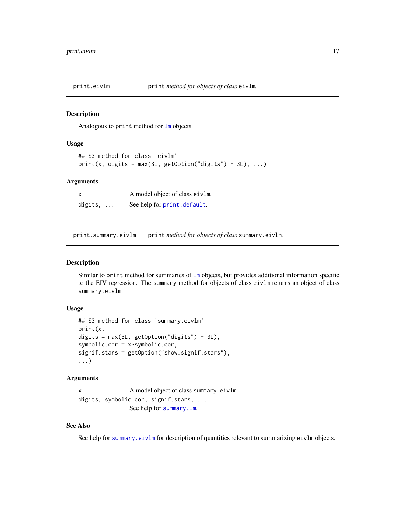<span id="page-16-0"></span>

#### Description

Analogous to print method for [lm](#page-0-0) objects.

#### Usage

```
## S3 method for class 'eivlm'
print(x, digits = max(3L, getOption("digits") - 3L), ...)
```
#### **Arguments**

|         | A model object of class eivlm. |
|---------|--------------------------------|
| digits, | See help for print.default.    |

print.summary.eivlm print *method for objects of class* summary.eivlm*.*

# Description

Similar to print method for summaries of [lm](#page-0-0) objects, but provides additional information specific to the EIV regression. The summary method for objects of class eivlm returns an object of class summary.eivlm.

#### Usage

```
## S3 method for class 'summary.eivlm'
print(x,
digits = max(3L, getOption("digits") - 3L),
symbolic.cor = x$symbolic.cor,
signif.stars = getOption("show.signif.stars"),
...)
```
#### Arguments

```
x A model object of class summary.eivlm.
nif.stars, ...
           See help for summary.lm.
```
# See Also

See help for [summary.eivlm](#page-17-1) for description of quantities relevant to summarizing eivlm objects.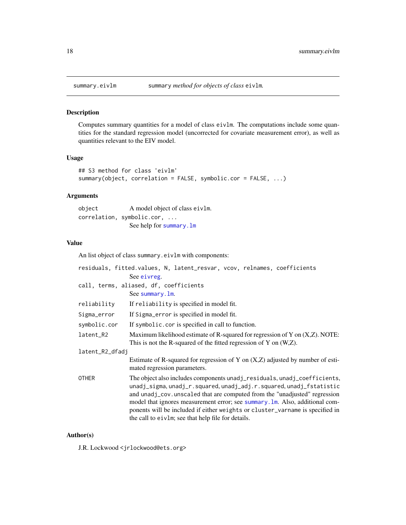<span id="page-17-1"></span><span id="page-17-0"></span>

# Description

Computes summary quantities for a model of class eivlm. The computations include some quantities for the standard regression model (uncorrected for covariate measurement error), as well as quantities relevant to the EIV model.

# Usage

```
## S3 method for class 'eivlm'
summary(object, correlation = FALSE, symbolic.cor = FALSE, ...)
```
#### Arguments

object A model object of class eivlm. correlation, symbolic.cor, ... See help for [summary.lm](#page-0-0)

# Value

An list object of class summary.eivlm with components:

|                 | residuals, fitted.values, N, latent_resvar, vcov, relnames, coefficients                                                                                                                                                                                                                                                                                                                                                                            |  |
|-----------------|-----------------------------------------------------------------------------------------------------------------------------------------------------------------------------------------------------------------------------------------------------------------------------------------------------------------------------------------------------------------------------------------------------------------------------------------------------|--|
|                 | See eivreg.                                                                                                                                                                                                                                                                                                                                                                                                                                         |  |
|                 | call, terms, aliased, df, coefficients                                                                                                                                                                                                                                                                                                                                                                                                              |  |
|                 | See summary. 1m.                                                                                                                                                                                                                                                                                                                                                                                                                                    |  |
| reliability     | If reliability is specified in model fit.                                                                                                                                                                                                                                                                                                                                                                                                           |  |
| Sigma_error     | If Sigma_error is specified in model fit.                                                                                                                                                                                                                                                                                                                                                                                                           |  |
| symbolic.cor    | If symbolic.cor is specified in call to function.                                                                                                                                                                                                                                                                                                                                                                                                   |  |
| latent_R2       | Maximum likelihood estimate of R-squared for regression of Y on $(X,Z)$ . NOTE:<br>This is not the R-squared of the fitted regression of Y on $(W,Z)$ .                                                                                                                                                                                                                                                                                             |  |
| latent_R2_dfadj |                                                                                                                                                                                                                                                                                                                                                                                                                                                     |  |
|                 | Estimate of R-squared for regression of Y on $(X,Z)$ adjusted by number of esti-<br>mated regression parameters.                                                                                                                                                                                                                                                                                                                                    |  |
| OTHER           | The object also includes components unadj_residuals, unadj_coefficients,<br>unadj_sigma, unadj_r.squared, unadj_adj.r.squared, unadj_fstatistic<br>and unadj_cov.unscaled that are computed from the "unadjusted" regression<br>model that ignores measurement error; see summary. Im. Also, additional com-<br>ponents will be included if either weights or cluster_varname is specified in<br>the call to eivlm; see that help file for details. |  |

#### Author(s)

J.R. Lockwood <jrlockwood@ets.org>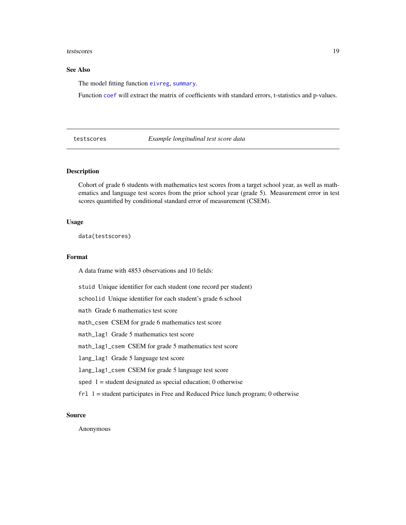#### <span id="page-18-0"></span>testscores and the state of the state of the state of the state of the state of the state of the state of the state of the state of the state of the state of the state of the state of the state of the state of the state of

# See Also

The model fitting function [eivreg](#page-4-1), [summary](#page-0-0).

Function [coef](#page-0-0) will extract the matrix of coefficients with standard errors, t-statistics and p-values.

<span id="page-18-1"></span>testscores *Example longitudinal test score data*

# Description

Cohort of grade 6 students with mathematics test scores from a target school year, as well as mathematics and language test scores from the prior school year (grade 5). Measurement error in test scores quantified by conditional standard error of measurement (CSEM).

#### Usage

data(testscores)

#### Format

A data frame with 4853 observations and 10 fields:

stuid Unique identifier for each student (one record per student)

schoolid Unique identifier for each student's grade 6 school

math Grade 6 mathematics test score

math\_csem CSEM for grade 6 mathematics test score

math\_lag1 Grade 5 mathematics test score

math\_lag1\_csem CSEM for grade 5 mathematics test score

lang\_lag1 Grade 5 language test score

lang\_lag1\_csem CSEM for grade 5 language test score

sped  $1 =$  student designated as special education; 0 otherwise

frl 1 = student participates in Free and Reduced Price lunch program; 0 otherwise

# Source

Anonymous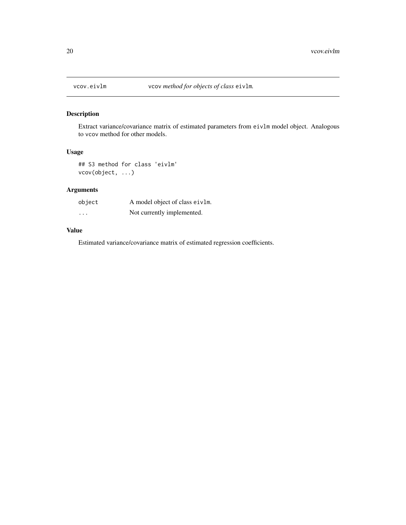<span id="page-19-0"></span>

# Description

Extract variance/covariance matrix of estimated parameters from eivlm model object. Analogous to vcov method for other models.

# Usage

## S3 method for class 'eivlm' vcov(object, ...)

# Arguments

| object   | A model object of class eivlm. |
|----------|--------------------------------|
| $\cdots$ | Not currently implemented.     |

# Value

Estimated variance/covariance matrix of estimated regression coefficients.